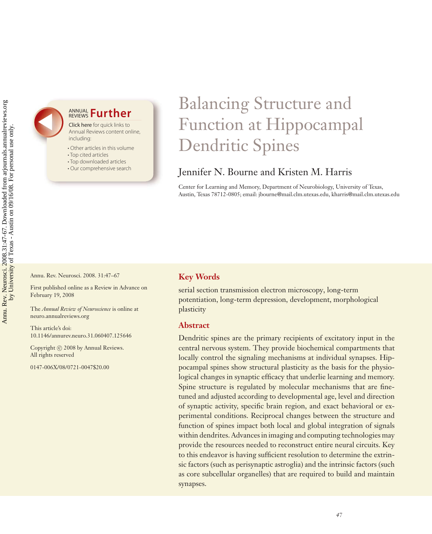

## Click here for quick links to **ANNUAL Further**

Annual Reviews content online, including:

• Other articles in this volume

• Top cited articles • Top downloaded articles

• Our comprehensive search

# Balancing Structure and Function at Hippocampal Dendritic Spines

## Jennifer N. Bourne and Kristen M. Harris

Center for Learning and Memory, Department of Neurobiology, University of Texas, Austin, Texas 78712-0805; email: jbourne@mail.clm.utexas.edu, kharris@mail.clm.utexas.edu

Annu. Rev. Neurosci. 2008. 31:47–67

First published online as a Review in Advance on February 19, 2008

The *Annual Review of Neuroscience* is online at neuro.annualreviews.org

This article's doi: 10.1146/annurev.neuro.31.060407.125646

Copyright © 2008 by Annual Reviews. All rights reserved

0147-006X/08/0721-0047\$20.00

## **Key Words**

serial section transmission electron microscopy, long-term potentiation, long-term depression, development, morphological plasticity

#### **Abstract**

Dendritic spines are the primary recipients of excitatory input in the central nervous system. They provide biochemical compartments that locally control the signaling mechanisms at individual synapses. Hippocampal spines show structural plasticity as the basis for the physiological changes in synaptic efficacy that underlie learning and memory. Spine structure is regulated by molecular mechanisms that are finetuned and adjusted according to developmental age, level and direction of synaptic activity, specific brain region, and exact behavioral or experimental conditions. Reciprocal changes between the structure and function of spines impact both local and global integration of signals within dendrites. Advances in imaging and computing technologies may provide the resources needed to reconstruct entire neural circuits. Key to this endeavor is having sufficient resolution to determine the extrinsic factors (such as perisynaptic astroglia) and the intrinsic factors (such as core subcellular organelles) that are required to build and maintain synapses.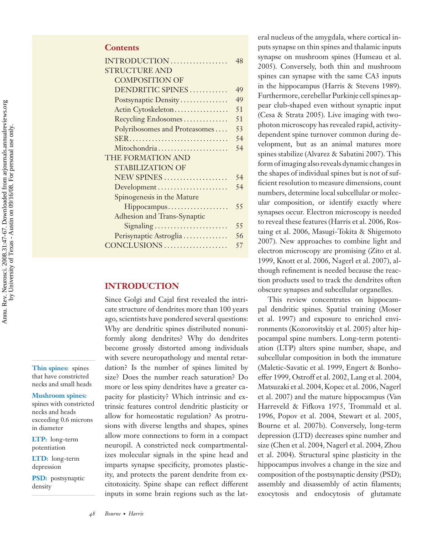| INTRODUCTION                  | 48 |
|-------------------------------|----|
| <b>STRUCTURE AND</b>          |    |
| <b>COMPOSITION OF</b>         |    |
| DENDRITIC SPINES              | 49 |
| Postsynaptic Density          | 49 |
| Actin Cytoskeleton            | 51 |
| Recycling Endosomes           | 51 |
| Polyribosomes and Proteasomes | 53 |
| SER                           | 54 |
| Mitochondria                  | 54 |
| THE FORMATION AND             |    |
| <b>STABILIZATION OF</b>       |    |
| NEW SPINES                    | 54 |
| Development                   | 54 |
| Spinogenesis in the Mature    |    |
| Hippocampus                   | 55 |
| Adhesion and Trans-Synaptic   |    |
| Signaling                     | 55 |
| Perisynaptic Astroglia        | 56 |
| CONCLUSIONS                   | 57 |
|                               |    |

## **INTRODUCTION**

Since Golgi and Cajal first revealed the intricate structure of dendrites more than 100 years ago, scientists have pondered several questions: Why are dendritic spines distributed nonuniformly along dendrites? Why do dendrites become grossly distorted among individuals with severe neuropathology and mental retardation? Is the number of spines limited by size? Does the number reach saturation? Do more or less spiny dendrites have a greater capacity for plasticity? Which intrinsic and extrinsic features control dendritic plasticity or allow for homeostatic regulation? As protrusions with diverse lengths and shapes, spines allow more connections to form in a compact neuropil. A constricted neck compartmentalizes molecular signals in the spine head and imparts synapse specificity, promotes plasticity, and protects the parent dendrite from excitotoxicity. Spine shape can reflect different inputs in some brain regions such as the lateral nucleus of the amygdala, where cortical inputs synapse on thin spines and thalamic inputs synapse on mushroom spines (Humeau et al. 2005). Conversely, both thin and mushroom spines can synapse with the same CA3 inputs in the hippocampus (Harris & Stevens 1989). Furthermore, cerebellar Purkinje cell spines appear club-shaped even without synaptic input (Cesa & Strata 2005). Live imaging with twophoton microscopy has revealed rapid, activitydependent spine turnover common during development, but as an animal matures more spines stabilize (Alvarez & Sabatini 2007). This form of imaging also reveals dynamic changes in the shapes of individual spines but is not of sufficient resolution to measure dimensions, count numbers, determine local subcellular or molecular composition, or identify exactly where synapses occur. Electron microscopy is needed to reveal these features (Harris et al. 2006, Rostaing et al. 2006, Masugi-Tokita & Shigemoto 2007). New approaches to combine light and electron microscopy are promising (Zito et al. 1999, Knott et al. 2006, Nagerl et al. 2007), although refinement is needed because the reaction products used to track the dendrites often obscure synapses and subcellular organelles.

This review concentrates on hippocampal dendritic spines. Spatial training (Moser et al. 1997) and exposure to enriched environments (Kozorovitskiy et al. 2005) alter hippocampal spine numbers. Long-term potentiation (LTP) alters spine number, shape, and subcellular composition in both the immature (Maletic-Savatic et al. 1999, Engert & Bonhoeffer 1999, Ostroff et al. 2002, Lang et al. 2004, Matsuzaki et al. 2004, Kopec et al. 2006, Nagerl et al. 2007) and the mature hippocampus (Van Harreveld & Fifkova 1975, Trommald et al. 1996, Popov et al. 2004, Stewart et al. 2005, Bourne et al. 2007b). Conversely, long-term depression (LTD) decreases spine number and size (Chen et al. 2004, Nagerl et al. 2004, Zhou et al. 2004). Structural spine plasticity in the hippocampus involves a change in the size and composition of the postsynaptic density (PSD); assembly and disassembly of actin filaments; exocytosis and endocytosis of glutamate

**Thin spines:** spines that have constricted necks and small heads

#### **Mushroom spines:**

spines with constricted necks and heads exceeding 0.6 microns in diameter

**LTP:** long-term potentiation

**LTD:** long-term depression

**PSD:** postsynaptic density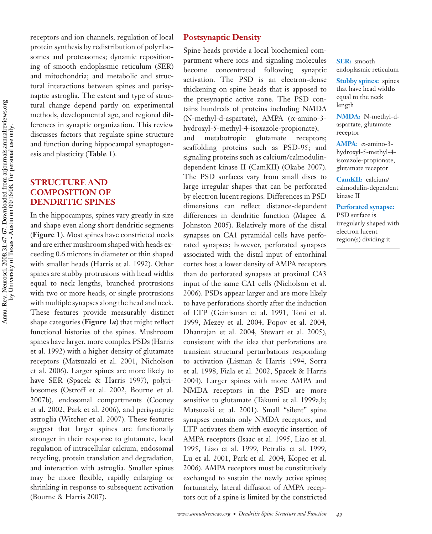Annu. Rev. Neurosci. 2008.31:47-67. Downloaded from arjournals.annualreviews.org<br>by University of Texas - Austin on 09/16/08. For personal use only. Annu. Rev. Neurosci. 2008.31:47-67. Downloaded from arjournals.annualreviews.org by University of Texas - Austin on 09/16/08. For personal use only.

receptors and ion channels; regulation of local protein synthesis by redistribution of polyribosomes and proteasomes; dynamic repositioning of smooth endoplasmic reticulum (SER) and mitochondria; and metabolic and structural interactions between spines and perisynaptic astroglia. The extent and type of structural change depend partly on experimental methods, developmental age, and regional differences in synaptic organization. This review discusses factors that regulate spine structure and function during hippocampal synaptogenesis and plasticity (**Table 1**).

## **STRUCTURE AND COMPOSITION OF DENDRITIC SPINES**

In the hippocampus, spines vary greatly in size and shape even along short dendritic segments (**Figure 1**). Most spines have constricted necks and are either mushroom shaped with heads exceeding 0.6 microns in diameter or thin shaped with smaller heads (Harris et al. 1992). Other spines are stubby protrusions with head widths equal to neck lengths, branched protrusions with two or more heads, or single protrusions with multiple synapses along the head and neck. These features provide measurably distinct shape categories (**Figure 1***a*) that might reflect functional histories of the spines. Mushroom spines have larger, more complex PSDs (Harris et al. 1992) with a higher density of glutamate receptors (Matsuzaki et al. 2001, Nicholson et al. 2006). Larger spines are more likely to have SER (Spacek & Harris 1997), polyribosomes (Ostroff et al. 2002, Bourne et al. 2007b), endosomal compartments (Cooney et al. 2002, Park et al. 2006), and perisynaptic astroglia (Witcher et al. 2007). These features suggest that larger spines are functionally stronger in their response to glutamate, local regulation of intracellular calcium, endosomal recycling, protein translation and degradation, and interaction with astroglia. Smaller spines may be more flexible, rapidly enlarging or shrinking in response to subsequent activation (Bourne & Harris 2007).

### **Postsynaptic Density**

Spine heads provide a local biochemical compartment where ions and signaling molecules become concentrated following synaptic activation. The PSD is an electron-dense thickening on spine heads that is apposed to the presynaptic active zone. The PSD contains hundreds of proteins including NMDA (N-methyl-d-aspartate), AMPA (α-amino-3 hydroxyl-5-methyl-4-isoxazole-propionate),

and metabotropic glutamate receptors; scaffolding proteins such as PSD-95; and signaling proteins such as calcium/calmodulindependent kinase II (CamKII) (Okabe 2007). The PSD surfaces vary from small discs to large irregular shapes that can be perforated by electron lucent regions. Differences in PSD dimensions can reflect distance-dependent differences in dendritic function (Magee & Johnston 2005). Relatively more of the distal synapses on CA1 pyramidal cells have perforated synapses; however, perforated synapses associated with the distal input of entorhinal cortex host a lower density of AMPA receptors than do perforated synapses at proximal CA3 input of the same CA1 cells (Nicholson et al. 2006). PSDs appear larger and are more likely to have perforations shortly after the induction of LTP (Geinisman et al. 1991, Toni et al. 1999, Mezey et al. 2004, Popov et al. 2004, Dhanrajan et al. 2004, Stewart et al. 2005), consistent with the idea that perforations are transient structural perturbations responding to activation (Lisman & Harris 1994, Sorra et al. 1998, Fiala et al. 2002, Spacek & Harris 2004). Larger spines with more AMPA and NMDA receptors in the PSD are more sensitive to glutamate (Takumi et al. 1999a,b; Matsuzaki et al. 2001). Small "silent" spine synapses contain only NMDA receptors, and LTP activates them with exocytic insertion of AMPA receptors (Isaac et al. 1995, Liao et al. 1995, Liao et al. 1999, Petralia et al. 1999, Lu et al. 2001, Park et al. 2004, Kopec et al. 2006). AMPA receptors must be constitutively exchanged to sustain the newly active spines; fortunately, lateral diffusion of AMPA receptors out of a spine is limited by the constricted **SER:** smooth endoplasmic reticulum

**Stubby spines:** spines that have head widths equal to the neck length

**NMDA:** N-methyl-daspartate, glutamate receptor

**AMPA:** α-amino-3 hydroxyl-5-methyl-4 isoxazole-propionate, glutamate receptor

**CamKII:** calcium/ calmodulin-dependent kinase II

**Perforated synapse:** PSD surface is irregularly shaped with electron lucent region(s) dividing it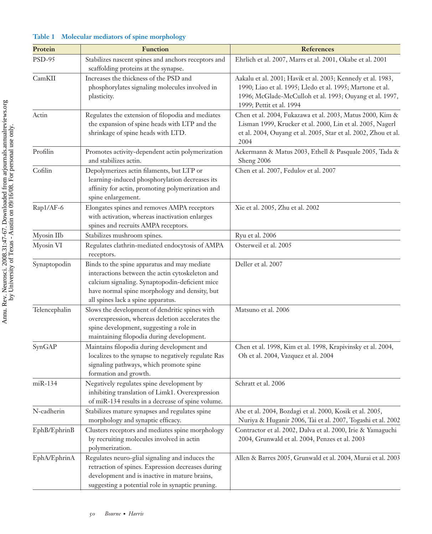| Protein       | Function                                                                                                                                                                                                                                 | <b>References</b>                                                                                                                                                                                               |
|---------------|------------------------------------------------------------------------------------------------------------------------------------------------------------------------------------------------------------------------------------------|-----------------------------------------------------------------------------------------------------------------------------------------------------------------------------------------------------------------|
| <b>PSD-95</b> | Stabilizes nascent spines and anchors receptors and<br>scaffolding proteins at the synapse.                                                                                                                                              | Ehrlich et al. 2007, Marrs et al. 2001, Okabe et al. 2001                                                                                                                                                       |
| CamKII        | Increases the thickness of the PSD and<br>phosphorylates signaling molecules involved in<br>plasticity.                                                                                                                                  | Aakalu et al. 2001; Havik et al. 2003; Kennedy et al. 1983,<br>1990; Liao et al. 1995; Lledo et al. 1995; Martone et al.<br>1996; McGlade-McCulloh et al. 1993; Ouyang et al. 1997,<br>1999; Pettit et al. 1994 |
| Actin         | Regulates the extension of filopodia and mediates<br>the expansion of spine heads with LTP and the<br>shrinkage of spine heads with LTD.                                                                                                 | Chen et al. 2004, Fukazawa et al. 2003, Matus 2000, Kim &<br>Lisman 1999, Krucker et al. 2000, Lin et al. 2005, Nagerl<br>et al. 2004, Ouyang et al. 2005, Star et al. 2002, Zhou et al.<br>2004                |
| Profilin      | Promotes activity-dependent actin polymerization<br>and stabilizes actin.                                                                                                                                                                | Ackermann & Matus 2003, Ethell & Pasquale 2005, Tada &<br>Sheng 2006                                                                                                                                            |
| Cofilin       | Depolymerizes actin filaments, but LTP or<br>learning-induced phosphorylation decreases its<br>affinity for actin, promoting polymerization and<br>spine enlargement.                                                                    | Chen et al. 2007, Fedulov et al. 2007                                                                                                                                                                           |
| Rap1/AF-6     | Elongates spines and removes AMPA receptors<br>with activation, whereas inactivation enlarges<br>spines and recruits AMPA receptors.                                                                                                     | Xie et al. 2005, Zhu et al. 2002                                                                                                                                                                                |
| Myosin IIb    | Stabilizes mushroom spines.                                                                                                                                                                                                              | Ryu et al. 2006                                                                                                                                                                                                 |
| Myosin VI     | Regulates clathrin-mediated endocytosis of AMPA<br>receptors.                                                                                                                                                                            | Osterweil et al. 2005                                                                                                                                                                                           |
| Synaptopodin  | Binds to the spine apparatus and may mediate<br>interactions between the actin cytoskeleton and<br>calcium signaling. Synaptopodin-deficient mice<br>have normal spine morphology and density, but<br>all spines lack a spine apparatus. | Deller et al. 2007                                                                                                                                                                                              |
| Telencephalin | Slows the development of dendritic spines with<br>overexpression, whereas deletion accelerates the<br>spine development, suggesting a role in<br>maintaining filopodia during development.                                               | Matsuno et al. 2006                                                                                                                                                                                             |
| SynGAP        | Maintains filopodia during development and<br>localizes to the synapse to negatively regulate Ras<br>signaling pathways, which promote spine<br>formation and growth.                                                                    | Chen et al. 1998, Kim et al. 1998, Krapivinsky et al. 2004,<br>Oh et al. 2004, Vazquez et al. 2004                                                                                                              |
| $miR-134$     | Negatively regulates spine development by<br>inhibiting translation of Limk1. Overexpression<br>of miR-134 results in a decrease of spine volume.                                                                                        | Schratt et al. 2006                                                                                                                                                                                             |
| N-cadherin    | Stabilizes mature synapses and regulates spine<br>morphology and synaptic efficacy.                                                                                                                                                      | Abe et al. 2004, Bozdagi et al. 2000, Kosik et al. 2005,<br>Nuriya & Huganir 2006, Tai et al. 2007, Togashi et al. 2002                                                                                         |
| EphB/EphrinB  | Clusters receptors and mediates spine morphology<br>by recruiting molecules involved in actin<br>polymerization.                                                                                                                         | Contractor et al. 2002, Dalva et al. 2000, Irie & Yamaguchi<br>2004, Grunwald et al. 2004, Penzes et al. 2003                                                                                                   |
| EphA/EphrinA  | Regulates neuro-glial signaling and induces the<br>retraction of spines. Expression decreases during<br>development and is inactive in mature brains,<br>suggesting a potential role in synaptic pruning.                                | Allen & Barres 2005, Grunwald et al. 2004, Murai et al. 2003                                                                                                                                                    |

**Table 1 Molecular mediators of spine morphology**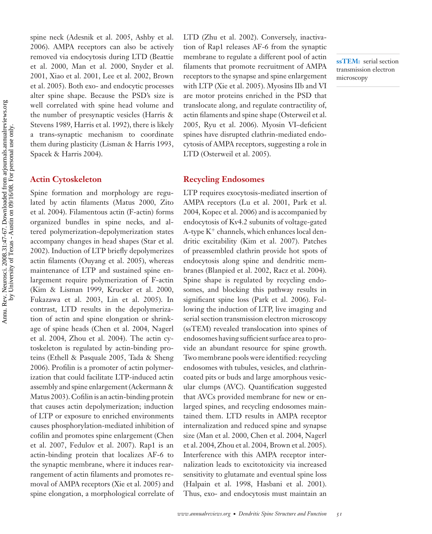Annu. Rev. Neurosci. 2008.31:47-67. Downloaded from arjournals.annualreviews.org<br>by University of Texas - Austin on 09/16/08. For personal use only. Annu. Rev. Neurosci. 2008.31:47-67. Downloaded from arjournals.annualreviews.org by University of Texas - Austin on 09/16/08. For personal use only.

spine neck (Adesnik et al. 2005, Ashby et al. 2006). AMPA receptors can also be actively removed via endocytosis during LTD (Beattie et al. 2000, Man et al. 2000, Snyder et al. 2001, Xiao et al. 2001, Lee et al. 2002, Brown et al. 2005). Both exo- and endocytic processes alter spine shape. Because the PSD's size is well correlated with spine head volume and the number of presynaptic vesicles (Harris & Stevens 1989, Harris et al. 1992), there is likely a trans-synaptic mechanism to coordinate them during plasticity (Lisman & Harris 1993, Spacek & Harris 2004).

#### **Actin Cytoskeleton**

Spine formation and morphology are regulated by actin filaments (Matus 2000, Zito et al. 2004). Filamentous actin (F-actin) forms organized bundles in spine necks, and altered polymerization-depolymerization states accompany changes in head shapes (Star et al. 2002). Induction of LTP briefly depolymerizes actin filaments (Ouyang et al. 2005), whereas maintenance of LTP and sustained spine enlargement require polymerization of F-actin (Kim & Lisman 1999, Krucker et al. 2000, Fukazawa et al. 2003, Lin et al. 2005). In contrast, LTD results in the depolymerization of actin and spine elongation or shrinkage of spine heads (Chen et al. 2004, Nagerl et al. 2004, Zhou et al. 2004). The actin cytoskeleton is regulated by actin-binding proteins (Ethell & Pasquale 2005, Tada & Sheng 2006). Profilin is a promoter of actin polymerization that could facilitate LTP-induced actin assembly and spine enlargement (Ackermann & Matus 2003). Cofilin is an actin-binding protein that causes actin depolymerization; induction of LTP or exposure to enriched environments causes phosphorylation-mediated inhibition of cofilin and promotes spine enlargement (Chen et al. 2007, Fedulov et al. 2007). Rap1 is an actin-binding protein that localizes AF-6 to the synaptic membrane, where it induces rearrangement of actin filaments and promotes removal of AMPA receptors (Xie et al. 2005) and spine elongation, a morphological correlate of

LTD (Zhu et al. 2002). Conversely, inactivation of Rap1 releases AF-6 from the synaptic membrane to regulate a different pool of actin filaments that promote recruitment of AMPA receptors to the synapse and spine enlargement with LTP (Xie et al. 2005). Myosins IIb and VI are motor proteins enriched in the PSD that translocate along, and regulate contractility of, actin filaments and spine shape (Osterweil et al. 2005, Ryu et al. 2006). Myosin VI–deficient spines have disrupted clathrin-mediated endocytosis of AMPA receptors, suggesting a role in LTD (Osterweil et al. 2005).

## **Recycling Endosomes**

LTP requires exocytosis-mediated insertion of AMPA receptors (Lu et al. 2001, Park et al. 2004, Kopec et al. 2006) and is accompanied by endocytosis of Kv4.2 subunits of voltage-gated A-type  $K^+$  channels, which enhances local dendritic excitability (Kim et al. 2007). Patches of preassembled clathrin provide hot spots of endocytosis along spine and dendritic membranes (Blanpied et al. 2002, Racz et al. 2004). Spine shape is regulated by recycling endosomes, and blocking this pathway results in significant spine loss (Park et al. 2006). Following the induction of LTP, live imaging and serial section transmission electron microscopy (ssTEM) revealed translocation into spines of endosomes having sufficient surface area to provide an abundant resource for spine growth. Two membrane pools were identified: recycling endosomes with tubules, vesicles, and clathrincoated pits or buds and large amorphous vesicular clumps (AVC). Quantification suggested that AVCs provided membrane for new or enlarged spines, and recycling endosomes maintained them. LTD results in AMPA receptor internalization and reduced spine and synapse size (Man et al. 2000, Chen et al. 2004, Nagerl et al. 2004, Zhou et al. 2004, Brown et al. 2005). Interference with this AMPA receptor internalization leads to excitotoxicity via increased sensitivity to glutamate and eventual spine loss (Halpain et al. 1998, Hasbani et al. 2001). Thus, exo- and endocytosis must maintain an **ssTEM:** serial section transmission electron microscopy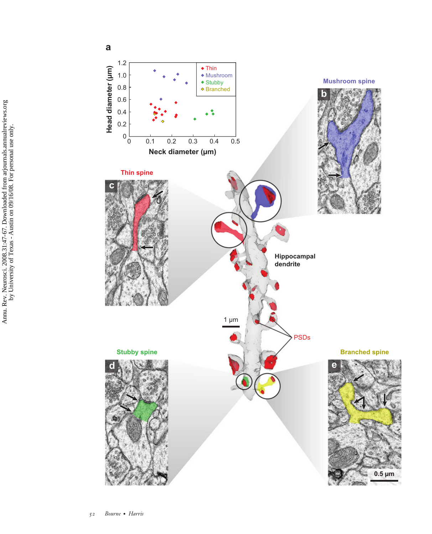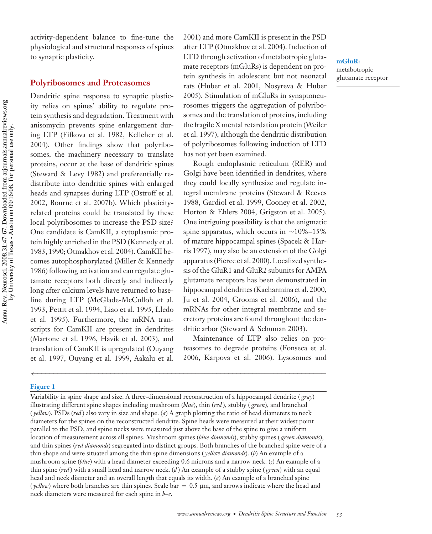Annu. Rev. Neurosci. 2008.31:47-67. Downloaded from arjournals.annualreviews.org<br>by University of Texas - Austin on 09/16/08. For personal use only. Annu. Rev. Neurosci. 2008.31:47-67. Downloaded from arjournals.annualreviews.org by University of Texas - Austin on 09/16/08. For personal use only.

activity-dependent balance to fine-tune the physiological and structural responses of spines to synaptic plasticity.

#### **Polyribosomes and Proteasomes**

Dendritic spine response to synaptic plasticity relies on spines' ability to regulate protein synthesis and degradation. Treatment with anisomycin prevents spine enlargement during LTP (Fifkova et al. 1982, Kelleher et al. 2004). Other findings show that polyribosomes, the machinery necessary to translate proteins, occur at the base of dendritic spines (Steward & Levy 1982) and preferentially redistribute into dendritic spines with enlarged heads and synapses during LTP (Ostroff et al. 2002, Bourne et al. 2007b). Which plasticityrelated proteins could be translated by these local polyribosomes to increase the PSD size? One candidate is CamKII, a cytoplasmic protein highly enriched in the PSD (Kennedy et al. 1983, 1990; Otmakhov et al. 2004). CamKII becomes autophosphorylated (Miller & Kennedy 1986) following activation and can regulate glutamate receptors both directly and indirectly long after calcium levels have returned to baseline during LTP (McGlade-McCulloh et al. 1993, Pettit et al. 1994, Liao et al. 1995, Lledo et al. 1995). Furthermore, the mRNA transcripts for CamKII are present in dendrites (Martone et al. 1996, Havik et al. 2003), and translation of CamKII is upregulated (Ouyang et al. 1997, Ouyang et al. 1999, Aakalu et al.

LTD through activation of metabotropic glutamate receptors (mGluRs) is dependent on protein synthesis in adolescent but not neonatal rats (Huber et al. 2001, Nosyreva & Huber 2005). Stimulation of mGluRs in synaptoneurosomes triggers the aggregation of polyribosomes and the translation of proteins, including the fragile X mental retardation protein (Weiler et al. 1997), although the dendritic distribution of polyribosomes following induction of LTD has not yet been examined.

2001) and more CamKII is present in the PSD after LTP (Otmakhov et al. 2004). Induction of

Rough endoplasmic reticulum (RER) and Golgi have been identified in dendrites, where they could locally synthesize and regulate integral membrane proteins (Steward & Reeves 1988, Gardiol et al. 1999, Cooney et al. 2002, Horton & Ehlers 2004, Grigston et al. 2005). One intriguing possibility is that the enigmatic spine apparatus, which occurs in ∼10%–15% of mature hippocampal spines (Spacek & Harris 1997), may also be an extension of the Golgi apparatus (Pierce et al. 2000). Localized synthesis of the GluR1 and GluR2 subunits for AMPA glutamate receptors has been demonstrated in hippocampal dendrites (Kacharmina et al. 2000, Ju et al. 2004, Grooms et al. 2006), and the mRNAs for other integral membrane and secretory proteins are found throughout the dendritic arbor (Steward & Schuman 2003).

Maintenance of LTP also relies on proteasomes to degrade proteins (Fonseca et al. 2006, Karpova et al. 2006). Lysosomes and

#### **Figure 1**

←−−−−−−−−−−−−−−−−−−−−−−−−−−−−−−−−−−−−−−−−−−−−−−−−−−−−−−−−−−−−−−−−−−−−−−−

#### **mGluR:** metabotropic glutamate receptor

Variability in spine shape and size. A three-dimensional reconstruction of a hippocampal dendrite ( *gray*) illustrating different spine shapes including mushroom (*blue*), thin (*red* ), stubby ( *green*), and branched ( *yellow*). PSDs (*red* ) also vary in size and shape. (*a*) A graph plotting the ratio of head diameters to neck diameters for the spines on the reconstructed dendrite. Spine heads were measured at their widest point parallel to the PSD, and spine necks were measured just above the base of the spine to give a uniform location of measurement across all spines. Mushroom spines (*blue diamonds*), stubby spines ( *green diamonds*), and thin spines (*red diamonds*) segregated into distinct groups. Both branches of the branched spine were of a thin shape and were situated among the thin spine dimensions ( *yellow diamonds*). (*b*) An example of a mushroom spine (*blue*) with a head diameter exceeding 0.6 microns and a narrow neck. (*c*) An example of a thin spine (*red* ) with a small head and narrow neck. (*d* ) An example of a stubby spine ( *green*) with an equal head and neck diameter and an overall length that equals its width. (*e*) An example of a branched spine  $(yelow)$  where both branches are thin spines. Scale bar =  $0.5 \mu m$ , and arrows indicate where the head and neck diameters were measured for each spine in *b*–*e*.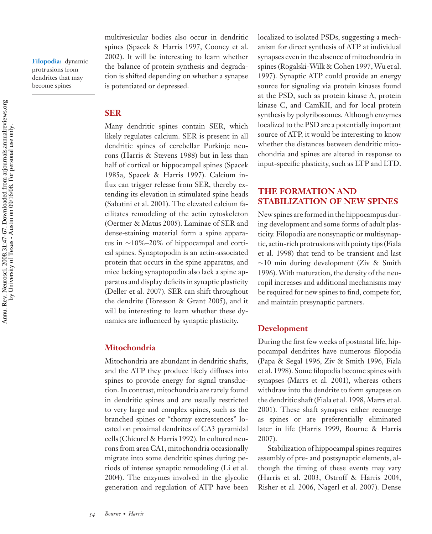**Filopodia:** dynamic protrusions from dendrites that may become spines

multivesicular bodies also occur in dendritic spines (Spacek & Harris 1997, Cooney et al. 2002). It will be interesting to learn whether the balance of protein synthesis and degradation is shifted depending on whether a synapse is potentiated or depressed.

## **SER**

Many dendritic spines contain SER, which likely regulates calcium. SER is present in all dendritic spines of cerebellar Purkinje neurons (Harris & Stevens 1988) but in less than half of cortical or hippocampal spines (Spacek 1985a, Spacek & Harris 1997). Calcium influx can trigger release from SER, thereby extending its elevation in stimulated spine heads (Sabatini et al. 2001). The elevated calcium facilitates remodeling of the actin cytoskeleton (Oertner & Matus 2005). Laminae of SER and dense-staining material form a spine apparatus in ∼10%–20% of hippocampal and cortical spines. Synaptopodin is an actin-associated protein that occurs in the spine apparatus, and mice lacking synaptopodin also lack a spine apparatus and display deficits in synaptic plasticity (Deller et al. 2007). SER can shift throughout the dendrite (Toresson & Grant 2005), and it will be interesting to learn whether these dynamics are influenced by synaptic plasticity.

#### **Mitochondria**

Mitochondria are abundant in dendritic shafts, and the ATP they produce likely diffuses into spines to provide energy for signal transduction. In contrast, mitochondria are rarely found in dendritic spines and are usually restricted to very large and complex spines, such as the branched spines or "thorny excrescences" located on proximal dendrites of CA3 pyramidal cells (Chicurel & Harris 1992). In cultured neurons from area CA1, mitochondria occasionally migrate into some dendritic spines during periods of intense synaptic remodeling (Li et al. 2004). The enzymes involved in the glycolic generation and regulation of ATP have been

localized to isolated PSDs, suggesting a mechanism for direct synthesis of ATP at individual synapses even in the absence of mitochondria in spines (Rogalski-Wilk & Cohen 1997, Wu et al. 1997). Synaptic ATP could provide an energy source for signaling via protein kinases found at the PSD, such as protein kinase A, protein kinase C, and CamKII, and for local protein synthesis by polyribosomes. Although enzymes localized to the PSD are a potentially important source of ATP, it would be interesting to know whether the distances between dendritic mitochondria and spines are altered in response to input-specific plasticity, such as LTP and LTD.

## **THE FORMATION AND STABILIZATION OF NEW SPINES**

New spines are formed in the hippocampus during development and some forms of adult plasticity. Filopodia are nonsynaptic or multisynaptic, actin-rich protrusions with pointy tips (Fiala et al. 1998) that tend to be transient and last ∼10 min during development (Ziv & Smith 1996). With maturation, the density of the neuropil increases and additional mechanisms may be required for new spines to find, compete for, and maintain presynaptic partners.

#### **Development**

During the first few weeks of postnatal life, hippocampal dendrites have numerous filopodia (Papa & Segal 1996, Ziv & Smith 1996, Fiala et al. 1998). Some filopodia become spines with synapses (Marrs et al. 2001), whereas others withdraw into the dendrite to form synapses on the dendritic shaft (Fiala et al. 1998, Marrs et al. 2001). These shaft synapses either reemerge as spines or are preferentially eliminated later in life (Harris 1999, Bourne & Harris 2007).

Stabilization of hippocampal spines requires assembly of pre- and postsynaptic elements, although the timing of these events may vary (Harris et al. 2003, Ostroff & Harris 2004, Risher et al. 2006, Nagerl et al. 2007). Dense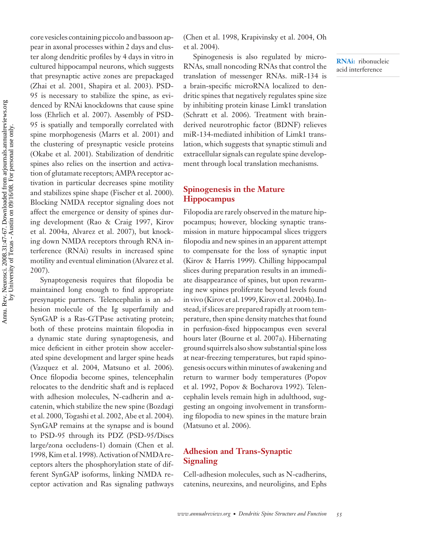core vesicles containing piccolo and bassoon appear in axonal processes within 2 days and cluster along dendritic profiles by 4 days in vitro in cultured hippocampal neurons, which suggests that presynaptic active zones are prepackaged (Zhai et al. 2001, Shapira et al. 2003). PSD-95 is necessary to stabilize the spine, as evidenced by RNAi knockdowns that cause spine loss (Ehrlich et al. 2007). Assembly of PSD-95 is spatially and temporally correlated with spine morphogenesis (Marrs et al. 2001) and the clustering of presynaptic vesicle proteins (Okabe et al. 2001). Stabilization of dendritic spines also relies on the insertion and activation of glutamate receptors; AMPA receptor activation in particular decreases spine motility and stabilizes spine shape (Fischer et al. 2000). Blocking NMDA receptor signaling does not affect the emergence or density of spines during development (Rao & Craig 1997, Kirov et al. 2004a, Alvarez et al. 2007), but knocking down NMDA receptors through RNA interference (RNAi) results in increased spine motility and eventual elimination (Alvarez et al. 2007).

Synaptogenesis requires that filopodia be maintained long enough to find appropriate presynaptic partners. Telencephalin is an adhesion molecule of the Ig superfamily and SynGAP is a Ras-GTPase activating protein; both of these proteins maintain filopodia in a dynamic state during synaptogenesis, and mice deficient in either protein show accelerated spine development and larger spine heads (Vazquez et al. 2004, Matsuno et al. 2006). Once filopodia become spines, telencephalin relocates to the dendritic shaft and is replaced with adhesion molecules, N-cadherin and αcatenin, which stabilize the new spine (Bozdagi et al. 2000, Togashi et al. 2002, Abe et al. 2004). SynGAP remains at the synapse and is bound to PSD-95 through its PDZ (PSD-95/Discs large/zona occludens-1) domain (Chen et al. 1998, Kim et al. 1998). Activation of NMDA receptors alters the phosphorylation state of different SynGAP isoforms, linking NMDA receptor activation and Ras signaling pathways

(Chen et al. 1998, Krapivinsky et al. 2004, Oh et al. 2004).

Spinogenesis is also regulated by micro-RNAs, small noncoding RNAs that control the translation of messenger RNAs. miR-134 is a brain-specific microRNA localized to dendritic spines that negatively regulates spine size by inhibiting protein kinase Limk1 translation (Schratt et al. 2006). Treatment with brainderived neurotrophic factor (BDNF) relieves miR-134-mediated inhibition of Limk1 translation, which suggests that synaptic stimuli and extracellular signals can regulate spine development through local translation mechanisms.

## **Spinogenesis in the Mature Hippocampus**

Filopodia are rarely observed in the mature hippocampus; however, blocking synaptic transmission in mature hippocampal slices triggers filopodia and new spines in an apparent attempt to compensate for the loss of synaptic input (Kirov & Harris 1999). Chilling hippocampal slices during preparation results in an immediate disappearance of spines, but upon rewarming new spines proliferate beyond levels found in vivo (Kirov et al. 1999, Kirov et al. 2004b). Instead, if slices are prepared rapidly at room temperature, then spine density matches that found in perfusion-fixed hippocampus even several hours later (Bourne et al. 2007a). Hibernating ground squirrels also show substantial spine loss at near-freezing temperatures, but rapid spinogenesis occurs within minutes of awakening and return to warmer body temperatures (Popov et al. 1992, Popov & Bocharova 1992). Telencephalin levels remain high in adulthood, suggesting an ongoing involvement in transforming filopodia to new spines in the mature brain (Matsuno et al. 2006).

## **Adhesion and Trans-Synaptic Signaling**

Cell-adhesion molecules, such as N-cadherins, catenins, neurexins, and neuroligins, and Ephs **RNAi:** ribonucleic acid interference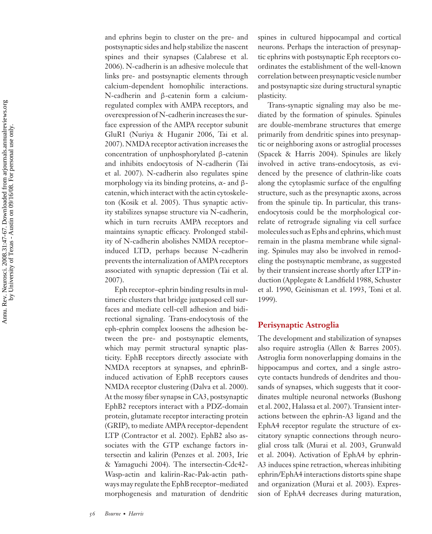and ephrins begin to cluster on the pre- and postsynaptic sides and help stabilize the nascent spines and their synapses (Calabrese et al. 2006). N-cadherin is an adhesive molecule that links pre- and postsynaptic elements through calcium-dependent homophilic interactions. N-cadherin and β-catenin form a calciumregulated complex with AMPA receptors, and overexpression of N-cadherin increases the surface expression of the AMPA receptor subunit GluR1 (Nuriya & Huganir 2006, Tai et al. 2007). NMDA receptor activation increases the concentration of unphosphorylated β-catenin and inhibits endocytosis of N-cadherin (Tai et al. 2007). N-cadherin also regulates spine morphology via its binding proteins,  $\alpha$ - and  $\beta$ catenin, which interact with the actin cytoskeleton (Kosik et al. 2005). Thus synaptic activity stabilizes synapse structure via N-cadherin, which in turn recruits AMPA receptors and maintains synaptic efficacy. Prolonged stability of N-cadherin abolishes NMDA receptor– induced LTD, perhaps because N-cadherin prevents the internalization of AMPA receptors associated with synaptic depression (Tai et al. 2007).

Eph receptor–ephrin binding results in multimeric clusters that bridge juxtaposed cell surfaces and mediate cell-cell adhesion and bidirectional signaling. Trans-endocytosis of the eph-ephrin complex loosens the adhesion between the pre- and postsynaptic elements, which may permit structural synaptic plasticity. EphB receptors directly associate with NMDA receptors at synapses, and ephrinBinduced activation of EphB receptors causes NMDA receptor clustering (Dalva et al. 2000). At the mossy fiber synapse in CA3, postsynaptic EphB2 receptors interact with a PDZ-domain protein, glutamate receptor interacting protein (GRIP), to mediate AMPA receptor-dependent LTP (Contractor et al. 2002). EphB2 also associates with the GTP exchange factors intersectin and kalirin (Penzes et al. 2003, Irie & Yamaguchi 2004). The intersectin-Cdc42- Wasp-actin and kalirin-Rac-Pak-actin pathways may regulate the EphB receptor–mediated morphogenesis and maturation of dendritic spines in cultured hippocampal and cortical neurons. Perhaps the interaction of presynaptic ephrins with postsynaptic Eph receptors coordinates the establishment of the well-known correlation between presynaptic vesicle number and postsynaptic size during structural synaptic plasticity.

Trans-synaptic signaling may also be mediated by the formation of spinules. Spinules are double-membrane structures that emerge primarily from dendritic spines into presynaptic or neighboring axons or astroglial processes (Spacek & Harris 2004). Spinules are likely involved in active trans-endocytosis, as evidenced by the presence of clathrin-like coats along the cytoplasmic surface of the engulfing structure, such as the presynaptic axons, across from the spinule tip. In particular, this transendocytosis could be the morphological correlate of retrograde signaling via cell surface molecules such as Ephs and ephrins, which must remain in the plasma membrane while signaling. Spinules may also be involved in remodeling the postsynaptic membrane, as suggested by their transient increase shortly after LTP induction (Applegate & Landfield 1988, Schuster et al. 1990, Geinisman et al. 1993, Toni et al. 1999).

#### **Perisynaptic Astroglia**

The development and stabilization of synapses also require astroglia (Allen & Barres 2005). Astroglia form nonoverlapping domains in the hippocampus and cortex, and a single astrocyte contacts hundreds of dendrites and thousands of synapses, which suggests that it coordinates multiple neuronal networks (Bushong et al. 2002, Halassa et al. 2007). Transient interactions between the ephrin-A3 ligand and the EphA4 receptor regulate the structure of excitatory synaptic connections through neuroglial cross talk (Murai et al. 2003, Grunwald et al. 2004). Activation of EphA4 by ephrin-A3 induces spine retraction, whereas inhibiting ephrin/EphA4 interactions distorts spine shape and organization (Murai et al. 2003). Expression of EphA4 decreases during maturation,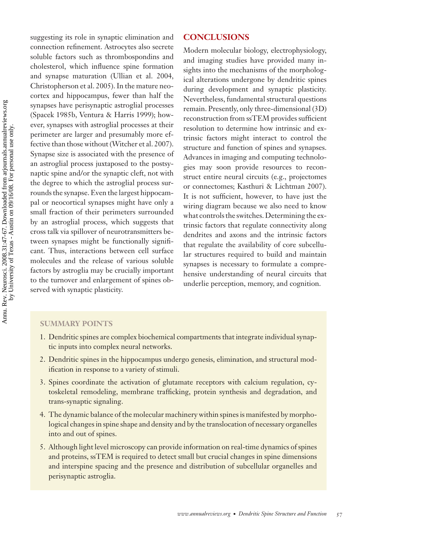suggesting its role in synaptic elimination and connection refinement. Astrocytes also secrete soluble factors such as thrombospondins and cholesterol, which influence spine formation and synapse maturation (Ullian et al. 2004, Christopherson et al. 2005). In the mature neocortex and hippocampus, fewer than half the synapses have perisynaptic astroglial processes (Spacek 1985b, Ventura & Harris 1999); however, synapses with astroglial processes at their perimeter are larger and presumably more effective than those without (Witcher et al. 2007). Synapse size is associated with the presence of an astroglial process juxtaposed to the postsynaptic spine and/or the synaptic cleft, not with the degree to which the astroglial process surrounds the synapse. Even the largest hippocampal or neocortical synapses might have only a small fraction of their perimeters surrounded by an astroglial process, which suggests that cross talk via spillover of neurotransmitters between synapses might be functionally significant. Thus, interactions between cell surface molecules and the release of various soluble factors by astroglia may be crucially important to the turnover and enlargement of spines observed with synaptic plasticity.

## **CONCLUSIONS**

Modern molecular biology, electrophysiology, and imaging studies have provided many insights into the mechanisms of the morphological alterations undergone by dendritic spines during development and synaptic plasticity. Nevertheless, fundamental structural questions remain. Presently, only three-dimensional (3D) reconstruction from ssTEM provides sufficient resolution to determine how intrinsic and extrinsic factors might interact to control the structure and function of spines and synapses. Advances in imaging and computing technologies may soon provide resources to reconstruct entire neural circuits (e.g., projectomes or connectomes; Kasthuri & Lichtman 2007). It is not sufficient, however, to have just the wiring diagram because we also need to know what controls the switches. Determining the extrinsic factors that regulate connectivity along dendrites and axons and the intrinsic factors that regulate the availability of core subcellular structures required to build and maintain synapses is necessary to formulate a comprehensive understanding of neural circuits that underlie perception, memory, and cognition.

### **SUMMARY POINTS**

- 1. Dendritic spines are complex biochemical compartments that integrate individual synaptic inputs into complex neural networks.
- 2. Dendritic spines in the hippocampus undergo genesis, elimination, and structural modification in response to a variety of stimuli.
- 3. Spines coordinate the activation of glutamate receptors with calcium regulation, cytoskeletal remodeling, membrane trafficking, protein synthesis and degradation, and trans-synaptic signaling.
- 4. The dynamic balance of the molecular machinery within spines is manifested by morphological changes in spine shape and density and by the translocation of necessary organelles into and out of spines.
- 5. Although light level microscopy can provide information on real-time dynamics of spines and proteins, ssTEM is required to detect small but crucial changes in spine dimensions and interspine spacing and the presence and distribution of subcellular organelles and perisynaptic astroglia.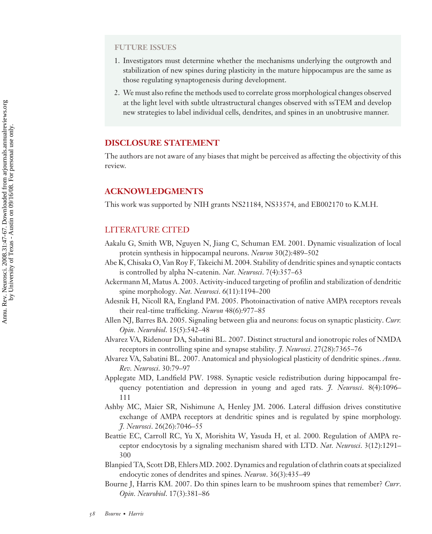#### **FUTURE ISSUES**

- 1. Investigators must determine whether the mechanisms underlying the outgrowth and stabilization of new spines during plasticity in the mature hippocampus are the same as those regulating synaptogenesis during development.
- 2. We must also refine the methods used to correlate gross morphological changes observed at the light level with subtle ultrastructural changes observed with ssTEM and develop new strategies to label individual cells, dendrites, and spines in an unobtrusive manner.

## **DISCLOSURE STATEMENT**

The authors are not aware of any biases that might be perceived as affecting the objectivity of this review.

### **ACKNOWLEDGMENTS**

This work was supported by NIH grants NS21184, NS33574, and EB002170 to K.M.H.

#### LITERATURE CITED

- Aakalu G, Smith WB, Nguyen N, Jiang C, Schuman EM. 2001. Dynamic visualization of local protein synthesis in hippocampal neurons. *Neuron* 30(2):489–502
- Abe K, Chisaka O, Van Roy F, Takeichi M. 2004. Stability of dendritic spines and synaptic contacts is controlled by alpha N-catenin. *Nat. Neurosci*. 7(4):357–63
- Ackermann M, Matus A. 2003. Activity-induced targeting of profilin and stabilization of dendritic spine morphology. *Nat. Neurosci*. 6(11):1194–200
- Adesnik H, Nicoll RA, England PM. 2005. Photoinactivation of native AMPA receptors reveals their real-time trafficking. *Neuron* 48(6):977–85
- Allen NJ, Barres BA. 2005. Signaling between glia and neurons: focus on synaptic plasticity. *Curr. Opin. Neurobiol*. 15(5):542–48
- Alvarez VA, Ridenour DA, Sabatini BL. 2007. Distinct structural and ionotropic roles of NMDA receptors in controlling spine and synapse stability. *J. Neurosci*. 27(28):7365–76
- Alvarez VA, Sabatini BL. 2007. Anatomical and physiological plasticity of dendritic spines. *Annu. Rev. Neurosci*. 30:79–97
- Applegate MD, Landfield PW. 1988. Synaptic vesicle redistribution during hippocampal frequency potentiation and depression in young and aged rats. *J. Neurosci*. 8(4):1096– 111
- Ashby MC, Maier SR, Nishimune A, Henley JM. 2006. Lateral diffusion drives constitutive exchange of AMPA receptors at dendritic spines and is regulated by spine morphology. *J. Neurosci*. 26(26):7046–55
- Beattie EC, Carroll RC, Yu X, Morishita W, Yasuda H, et al. 2000. Regulation of AMPA receptor endocytosis by a signaling mechanism shared with LTD. *Nat. Neurosci*. 3(12):1291– 300
- Blanpied TA, Scott DB, Ehlers MD. 2002. Dynamics and regulation of clathrin coats at specialized endocytic zones of dendrites and spines. *Neuron*. 36(3):435–49
- Bourne J, Harris KM. 2007. Do thin spines learn to be mushroom spines that remember? *Curr*. *Opin. Neurobiol*. 17(3):381–86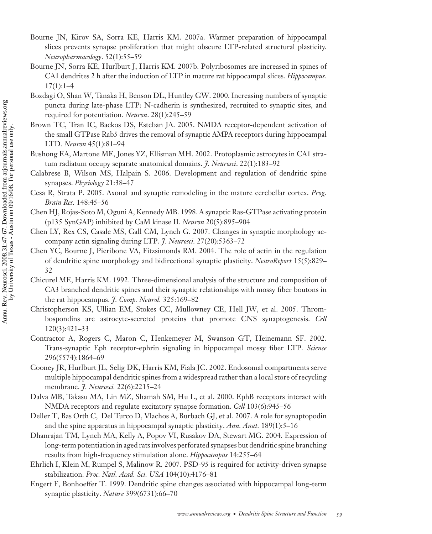- Bourne JN, Kirov SA, Sorra KE, Harris KM. 2007a. Warmer preparation of hippocampal slices prevents synapse proliferation that might obscure LTP-related structural plasticity. *Neuropharmacology*. 52(1):55–59
- Bourne JN, Sorra KE, Hurlburt J, Harris KM. 2007b. Polyribosomes are increased in spines of CA1 dendrites 2 h after the induction of LTP in mature rat hippocampal slices. *Hippocampus*.  $17(1):1-4$
- Bozdagi O, Shan W, Tanaka H, Benson DL, Huntley GW. 2000. Increasing numbers of synaptic puncta during late-phase LTP: N-cadherin is synthesized, recruited to synaptic sites, and required for potentiation. *Neuron*. 28(1):245–59
- Brown TC, Tran IC, Backos DS, Esteban JA. 2005. NMDA receptor-dependent activation of the small GTPase Rab5 drives the removal of synaptic AMPA receptors during hippocampal LTD. *Neuron* 45(1):81–94
- Bushong EA, Martone ME, Jones YZ, Ellisman MH. 2002. Protoplasmic astrocytes in CA1 stratum radiatum occupy separate anatomical domains. *J. Neurosci*. 22(1):183–92
- Calabrese B, Wilson MS, Halpain S. 2006. Development and regulation of dendritic spine synapses. *Physiology* 21:38–47
- Cesa R, Strata P. 2005. Axonal and synaptic remodeling in the mature cerebellar cortex. *Prog. Brain Res.* 148:45–56
- Chen HJ, Rojas-Soto M, Oguni A, Kennedy MB. 1998. A synaptic Ras-GTPase activating protein (p135 SynGAP) inhibited by CaM kinase II. *Neuron* 20(5):895–904
- Chen LY, Rex CS, Casale MS, Gall CM, Lynch G. 2007. Changes in synaptic morphology accompany actin signaling during LTP. *J. Neurosci.* 27(20):5363–72
- Chen YC, Bourne J, Pieribone VA, Fitzsimonds RM. 2004. The role of actin in the regulation of dendritic spine morphology and bidirectional synaptic plasticity. *NeuroReport* 15(5):829– 32
- Chicurel ME, Harris KM. 1992. Three-dimensional analysis of the structure and composition of CA3 branched dendritic spines and their synaptic relationships with mossy fiber boutons in the rat hippocampus. *J. Comp. Neurol.* 325:169–82
- Christopherson KS, Ullian EM, Stokes CC, Mullowney CE, Hell JW, et al. 2005. Thrombospondins are astrocyte-secreted proteins that promote CNS synaptogenesis. *Cell* 120(3):421–33
- Contractor A, Rogers C, Maron C, Henkemeyer M, Swanson GT, Heinemann SF. 2002. Trans-synaptic Eph receptor-ephrin signaling in hippocampal mossy fiber LTP. *Science* 296(5574):1864–69
- Cooney JR, Hurlburt JL, Selig DK, Harris KM, Fiala JC. 2002. Endosomal compartments serve multiple hippocampal dendritic spines from a widespread rather than a local store of recycling membrane. *J. Neurosci.* 22(6):2215–24
- Dalva MB, Takasu MA, Lin MZ, Shamah SM, Hu L, et al. 2000. EphB receptors interact with NMDA receptors and regulate excitatory synapse formation. *Cell* 103(6):945–56
- Deller T, Bas Orth C, Del Turco D, Vlachos A, Burbach GJ, et al. 2007. A role for synaptopodin and the spine apparatus in hippocampal synaptic plasticity. *Ann. Anat.* 189(1):5–16
- Dhanrajan TM, Lynch MA, Kelly A, Popov VI, Rusakov DA, Stewart MG. 2004. Expression of long-term potentiation in aged rats involves perforated synapses but dendritic spine branching results from high-frequency stimulation alone. *Hippocampus* 14:255–64
- Ehrlich I, Klein M, Rumpel S, Malinow R. 2007. PSD-95 is required for activity-driven synapse stabilization. *Proc. Natl. Acad. Sci. USA* 104(10):4176–81
- Engert F, Bonhoeffer T. 1999. Dendritic spine changes associated with hippocampal long-term synaptic plasticity. *Nature* 399(6731):66–70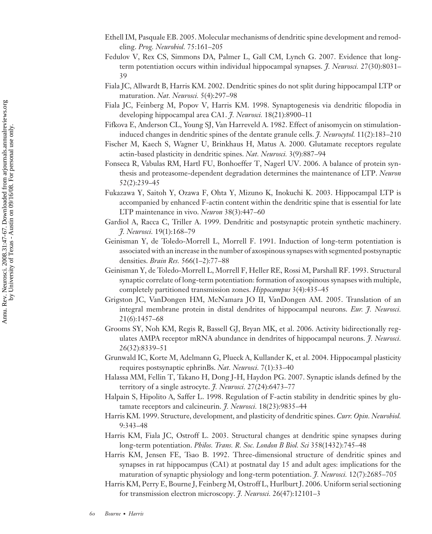- Ethell IM, Pasquale EB. 2005. Molecular mechanisms of dendritic spine development and remodeling. *Prog. Neurobiol.* 75:161–205
- Fedulov V, Rex CS, Simmons DA, Palmer L, Gall CM, Lynch G. 2007. Evidence that longterm potentiation occurs within individual hippocampal synapses. *J. Neurosci.* 27(30):8031– 39
- Fiala JC, Allwardt B, Harris KM. 2002. Dendritic spines do not split during hippocampal LTP or maturation. *Nat. Neurosci.* 5(4):297–98
- Fiala JC, Feinberg M, Popov V, Harris KM. 1998. Synaptogenesis via dendritic filopodia in developing hippocampal area CA1. *J. Neurosci.* 18(21):8900–11
- Fifkova E, Anderson CL, Young SJ, Van Harreveld A. 1982. Effect of anisomycin on stimulationinduced changes in dendritic spines of the dentate granule cells. *J. Neurocytol.* 11(2):183–210
- Fischer M, Kaech S, Wagner U, Brinkhaus H, Matus A. 2000. Glutamate receptors regulate actin-based plasticity in dendritic spines. *Nat. Neurosci.* 3(9):887–94
- Fonseca R, Vabulas RM, Hartl FU, Bonhoeffer T, Nagerl UV. 2006. A balance of protein synthesis and proteasome-dependent degradation determines the maintenance of LTP. *Neuron* 52(2):239–45
- Fukazawa Y, Saitoh Y, Ozawa F, Ohta Y, Mizuno K, Inokuchi K. 2003. Hippocampal LTP is accompanied by enhanced F-actin content within the dendritic spine that is essential for late LTP maintenance in vivo. *Neuron* 38(3):447–60
- Gardiol A, Racca C, Triller A. 1999. Dendritic and postsynaptic protein synthetic machinery. *J. Neurosci.* 19(1):168–79
- Geinisman Y, de Toledo-Morrell L, Morrell F. 1991. Induction of long-term potentiation is associated with an increase in the number of axospinous synapses with segmented postsynaptic densities. *Brain Res.* 566(1–2):77–88
- Geinisman Y, de Toledo-Morrell L, Morrell F, Heller RE, Rossi M, Parshall RF. 1993. Structural synaptic correlate of long-term potentiation: formation of axospinous synapses with multiple, completely partitioned transmission zones. *Hippocampus* 3(4):435–45
- Grigston JC, VanDongen HM, McNamara JO II, VanDongen AM. 2005. Translation of an integral membrane protein in distal dendrites of hippocampal neurons. *Eur. J. Neurosci.* 21(6):1457–68
- Grooms SY, Noh KM, Regis R, Bassell GJ, Bryan MK, et al. 2006. Activity bidirectionally regulates AMPA receptor mRNA abundance in dendrites of hippocampal neurons. *J. Neurosci.* 26(32):8339–51
- Grunwald IC, Korte M, Adelmann G, Plueck A, Kullander K, et al. 2004. Hippocampal plasticity requires postsynaptic ephrinBs. *Nat. Neurosci.* 7(1):33–40
- Halassa MM, Fellin T, Takano H, Dong J-H, Haydon PG. 2007. Synaptic islands defined by the territory of a single astrocyte. *J. Neurosci.* 27(24):6473–77
- Halpain S, Hipolito A, Saffer L. 1998. Regulation of F-actin stability in dendritic spines by glutamate receptors and calcineurin. *J. Neurosci.* 18(23):9835–44
- Harris KM. 1999. Structure, development, and plasticity of dendritic spines. *Curr. Opin. Neurobiol.* 9:343–48
- Harris KM, Fiala JC, Ostroff L. 2003. Structural changes at dendritic spine synapses during long-term potentiation. *Philos. Trans. R. Soc. London B Biol. Sci* 358(1432):745–48
- Harris KM, Jensen FE, Tsao B. 1992. Three-dimensional structure of dendritic spines and synapses in rat hippocampus (CA1) at postnatal day 15 and adult ages: implications for the maturation of synaptic physiology and long-term potentiation. *J. Neurosci.* 12(7):2685–705
- Harris KM, Perry E, Bourne J, Feinberg M, Ostroff L, Hurlburt J. 2006. Uniform serial sectioning for transmission electron microscopy. *J. Neurosci.* 26(47):12101–3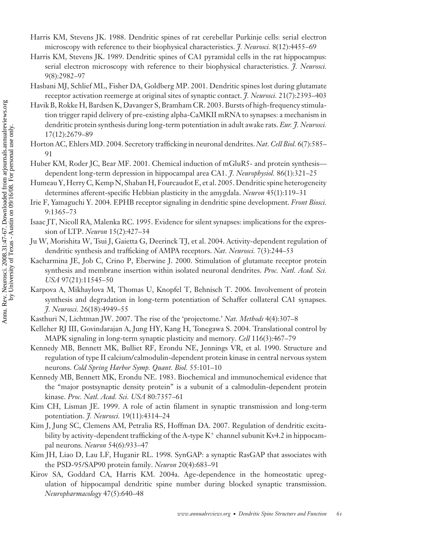- Harris KM, Stevens JK. 1988. Dendritic spines of rat cerebellar Purkinje cells: serial electron microscopy with reference to their biophysical characteristics. *J. Neurosci.* 8(12):4455–69
- Harris KM, Stevens JK. 1989. Dendritic spines of CA1 pyramidal cells in the rat hippocampus: serial electron microscopy with reference to their biophysical characteristics. *J. Neurosci.* 9(8):2982–97
- Hasbani MJ, Schlief ML, Fisher DA, Goldberg MP. 2001. Dendritic spines lost during glutamate receptor activation reemerge at original sites of synaptic contact. *J. Neurosci.* 21(7):2393–403
- Havik B, Rokke H, Bardsen K, Davanger S, Bramham CR. 2003. Bursts of high-frequency stimulation trigger rapid delivery of pre-existing alpha-CaMKII mRNA to synapses: a mechanism in dendritic protein synthesis during long-term potentiation in adult awake rats. *Eur. J. Neurosci.* 17(12):2679–89
- Horton AC, Ehlers MD. 2004. Secretory trafficking in neuronal dendrites. *Nat. Cell Biol.* 6(7):585– 91
- Huber KM, Roder JC, Bear MF. 2001. Chemical induction of mGluR5- and protein synthesis dependent long-term depression in hippocampal area CA1. *J. Neurophysiol.* 86(1):321–25
- Humeau Y, Herry C, Kemp N, Shaban H, Fourcaudot E, et al. 2005. Dendritic spine heterogeneity determines afferent-specific Hebbian plasticity in the amygdala. *Neuron* 45(1):119–31
- Irie F, Yamaguchi Y. 2004. EPHB receptor signaling in dendritic spine development. *Front Biosci.* 9:1365–73
- Isaac JT, Nicoll RA, Malenka RC. 1995. Evidence for silent synapses: implications for the expression of LTP. *Neuron* 15(2):427–34
- Ju W, Morishita W, Tsui J, Gaietta G, Deerinck TJ, et al. 2004. Activity-dependent regulation of dendritic synthesis and trafficking of AMPA receptors. *Nat. Neurosci.* 7(3):244–53
- Kacharmina JE, Job C, Crino P, Eberwine J. 2000. Stimulation of glutamate receptor protein synthesis and membrane insertion within isolated neuronal dendrites. *Proc. Natl. Acad. Sci. USA* 97(21):11545–50
- Karpova A, Mikhaylova M, Thomas U, Knopfel T, Behnisch T. 2006. Involvement of protein synthesis and degradation in long-term potentiation of Schaffer collateral CA1 synapses. *J. Neurosci.* 26(18):4949–55
- Kasthuri N, Lichtman JW. 2007. The rise of the 'projectome.' *Nat. Methods* 4(4):307–8
- Kelleher RJ III, Govindarajan A, Jung HY, Kang H, Tonegawa S. 2004. Translational control by MAPK signaling in long-term synaptic plasticity and memory. *Cell* 116(3):467–79
- Kennedy MB, Bennett MK, Bulliet RF, Erondu NE, Jennings VR, et al. 1990. Structure and regulation of type II calcium/calmodulin-dependent protein kinase in central nervous system neurons. *Cold Spring Harbor Symp. Quant. Biol.* 55:101–10
- Kennedy MB, Bennett MK, Erondu NE. 1983. Biochemical and immunochemical evidence that the "major postsynaptic density protein" is a subunit of a calmodulin-dependent protein kinase. *Proc. Natl. Acad. Sci. USA* 80:7357–61
- Kim CH, Lisman JE. 1999. A role of actin filament in synaptic transmission and long-term potentiation. *J. Neurosci.* 19(11):4314–24
- Kim J, Jung SC, Clemens AM, Petralia RS, Hoffman DA. 2007. Regulation of dendritic excitability by activity-dependent trafficking of the A-type  $K^+$  channel subunit Kv4.2 in hippocampal neurons. *Neuron* 54(6):933–47
- Kim JH, Liao D, Lau LF, Huganir RL. 1998. SynGAP: a synaptic RasGAP that associates with the PSD-95/SAP90 protein family. *Neuron* 20(4):683–91
- Kirov SA, Goddard CA, Harris KM. 2004a. Age-dependence in the homeostatic upregulation of hippocampal dendritic spine number during blocked synaptic transmission. *Neuropharmacology* 47(5):640–48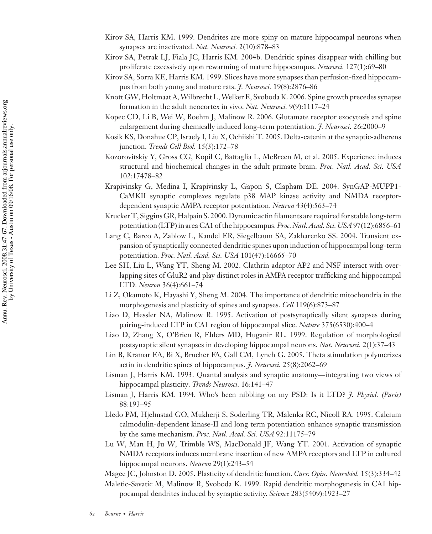- Kirov SA, Harris KM. 1999. Dendrites are more spiny on mature hippocampal neurons when synapses are inactivated. *Nat. Neurosci.* 2(10):878–83
- Kirov SA, Petrak LJ, Fiala JC, Harris KM. 2004b. Dendritic spines disappear with chilling but proliferate excessively upon rewarming of mature hippocampus. *Neurosci.* 127(1):69–80
- Kirov SA, Sorra KE, Harris KM. 1999. Slices have more synapses than perfusion-fixed hippocampus from both young and mature rats. *J. Neurosci.* 19(8):2876–86
- Knott GW, Holtmaat A, Wilbrecht L, Welker E, Svoboda K. 2006. Spine growth precedes synapse formation in the adult neocortex in vivo. *Nat. Neurosci.* 9(9):1117–24
- Kopec CD, Li B, Wei W, Boehm J, Malinow R. 2006. Glutamate receptor exocytosis and spine enlargement during chemically induced long-term potentiation. *J. Neurosci.* 26:2000–9
- Kosik KS, Donahue CP, Israely I, Liu X, Ochiishi T. 2005. Delta-catenin at the synaptic-adherens junction. *Trends Cell Biol.* 15(3):172–78
- Kozorovitskiy Y, Gross CG, Kopil C, Battaglia L, McBreen M, et al. 2005. Experience induces structural and biochemical changes in the adult primate brain. *Proc. Natl. Acad. Sci. USA* 102:17478–82
- Krapivinsky G, Medina I, Krapivinsky L, Gapon S, Clapham DE. 2004. SynGAP-MUPP1- CaMKII synaptic complexes regulate p38 MAP kinase activity and NMDA receptordependent synaptic AMPA receptor potentiation. *Neuron* 43(4):563–74
- Krucker T, Siggins GR, Halpain S. 2000. Dynamic actin filaments are required for stable long-term potentiation (LTP) in area CA1 of the hippocampus. *Proc. Natl. Acad. Sci. USA*97(12):6856–61
- Lang C, Barco A, Zablow L, Kandel ER, Siegelbaum SA, Zakharenko SS. 2004. Transient expansion of synaptically connected dendritic spines upon induction of hippocampal long-term potentiation. *Proc. Natl. Acad. Sci. USA* 101(47):16665–70
- Lee SH, Liu L, Wang YT, Sheng M. 2002. Clathrin adaptor AP2 and NSF interact with overlapping sites of GluR2 and play distinct roles in AMPA receptor trafficking and hippocampal LTD. *Neuron* 36(4):661–74
- Li Z, Okamoto K, Hayashi Y, Sheng M. 2004. The importance of dendritic mitochondria in the morphogenesis and plasticity of spines and synapses. *Cell* 119(6):873–87
- Liao D, Hessler NA, Malinow R. 1995. Activation of postsynaptically silent synapses during pairing-induced LTP in CA1 region of hippocampal slice. *Nature* 375(6530):400–4
- Liao D, Zhang X, O'Brien R, Ehlers MD, Huganir RL. 1999. Regulation of morphological postsynaptic silent synapses in developing hippocampal neurons. *Nat. Neurosci.* 2(1):37–43
- Lin B, Kramar EA, Bi X, Brucher FA, Gall CM, Lynch G. 2005. Theta stimulation polymerizes actin in dendritic spines of hippocampus. *J. Neurosci.* 25(8):2062–69
- Lisman J, Harris KM. 1993. Quantal analysis and synaptic anatomy—integrating two views of hippocampal plasticity. *Trends Neurosci.* 16:141–47
- Lisman J, Harris KM. 1994. Who's been nibbling on my PSD: Is it LTD? *J. Physiol. (Paris)* 88:193–95
- Lledo PM, Hjelmstad GO, Mukherji S, Soderling TR, Malenka RC, Nicoll RA. 1995. Calcium calmodulin-dependent kinase-II and long term potentiation enhance synaptic transmission by the same mechanism. *Proc. Natl. Acad. Sci. USA* 92:11175–79
- Lu W, Man H, Ju W, Trimble WS, MacDonald JF, Wang YT. 2001. Activation of synaptic NMDA receptors induces membrane insertion of new AMPA receptors and LTP in cultured hippocampal neurons. *Neuron* 29(1):243–54

Magee JC, Johnston D. 2005. Plasticity of dendritic function. *Curr. Opin. Neurobiol.* 15(3):334–42

Maletic-Savatic M, Malinow R, Svoboda K. 1999. Rapid dendritic morphogenesis in CA1 hippocampal dendrites induced by synaptic activity. *Science* 283(5409):1923–27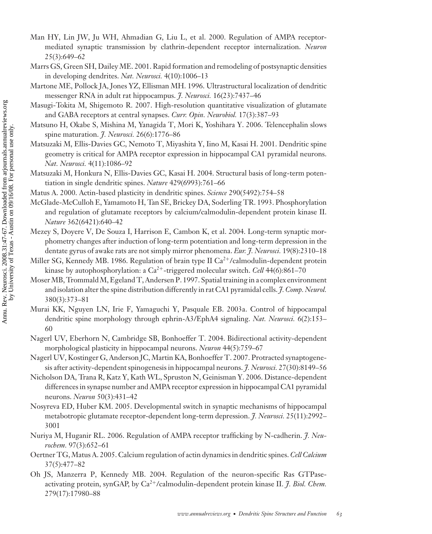- Man HY, Lin JW, Ju WH, Ahmadian G, Liu L, et al. 2000. Regulation of AMPA receptormediated synaptic transmission by clathrin-dependent receptor internalization. *Neuron* 25(3):649–62
- Marrs GS, Green SH, Dailey ME. 2001. Rapid formation and remodeling of postsynaptic densities in developing dendrites. *Nat. Neurosci.* 4(10):1006–13
- Martone ME, Pollock JA, Jones YZ, Ellisman MH. 1996. Ultrastructural localization of dendritic messenger RNA in adult rat hippocampus. *J. Neurosci.* 16(23):7437–46
- Masugi-Tokita M, Shigemoto R. 2007. High-resolution quantitative visualization of glutamate and GABA receptors at central synapses. *Curr. Opin. Neurobiol.* 17(3):387–93
- Matsuno H, Okabe S, Mishina M, Yanagida T, Mori K, Yoshihara Y. 2006. Telencephalin slows spine maturation. *J. Neurosci.* 26(6):1776–86
- Matsuzaki M, Ellis-Davies GC, Nemoto T, Miyashita Y, Iino M, Kasai H. 2001. Dendritic spine geometry is critical for AMPA receptor expression in hippocampal CA1 pyramidal neurons. *Nat. Neurosci.* 4(11):1086–92
- Matsuzaki M, Honkura N, Ellis-Davies GC, Kasai H. 2004. Structural basis of long-term potentiation in single dendritic spines. *Nature* 429(6993):761–66
- Matus A. 2000. Actin-based plasticity in dendritic spines. *Science* 290(5492):754–58
- McGlade-McCulloh E, Yamamoto H, Tan SE, Brickey DA, Soderling TR. 1993. Phosphorylation and regulation of glutamate receptors by calcium/calmodulin-dependent protein kinase II. *Nature* 362(6421):640–42
- Mezey S, Doyere V, De Souza I, Harrison E, Cambon K, et al. 2004. Long-term synaptic morphometry changes after induction of long-term potentiation and long-term depression in the dentate gyrus of awake rats are not simply mirror phenomena. *Eur. J. Neurosci.* 19(8):2310–18
- Miller SG, Kennedy MB. 1986. Regulation of brain type II  $Ca^{2+}/calmodulin-dependent protein$ kinase by autophosphorylation: a Ca<sup>2+</sup>-triggered molecular switch. *Cell* 44(6):861–70
- Moser MB, Trommald M, Egeland T, Andersen P. 1997. Spatial training in a complex environment and isolation alter the spine distribution differently in rat CA1 pyramidal cells. *J. Comp. Neurol.* 380(3):373–81
- Murai KK, Nguyen LN, Irie F, Yamaguchi Y, Pasquale EB. 2003a. Control of hippocampal dendritic spine morphology through ephrin-A3/EphA4 signaling. *Nat. Neurosci.* 6(2):153– 60
- Nagerl UV, Eberhorn N, Cambridge SB, Bonhoeffer T. 2004. Bidirectional activity-dependent morphological plasticity in hippocampal neurons. *Neuron* 44(5):759–67
- Nagerl UV, Kostinger G, Anderson JC, Martin KA, Bonhoeffer T. 2007. Protracted synaptogenesis after activity-dependent spinogenesis in hippocampal neurons. *J. Neurosci.* 27(30):8149–56
- Nicholson DA, Trana R, Katz Y, Kath WL, Spruston N, Geinisman Y. 2006. Distance-dependent differences in synapse number and AMPA receptor expression in hippocampal CA1 pyramidal neurons. *Neuron* 50(3):431–42
- Nosyreva ED, Huber KM. 2005. Developmental switch in synaptic mechanisms of hippocampal metabotropic glutamate receptor-dependent long-term depression. *J. Neurosci.* 25(11):2992– 3001
- Nuriya M, Huganir RL. 2006. Regulation of AMPA receptor trafficking by N-cadherin. *J. Neurochem.* 97(3):652–61
- Oertner TG, Matus A. 2005. Calcium regulation of actin dynamics in dendritic spines. *Cell Calcium* 37(5):477–82
- Oh JS, Manzerra P, Kennedy MB. 2004. Regulation of the neuron-specific Ras GTPaseactivating protein, synGAP, by Ca<sup>2</sup>+/calmodulin-dependent protein kinase II. *J. Biol. Chem.* 279(17):17980–88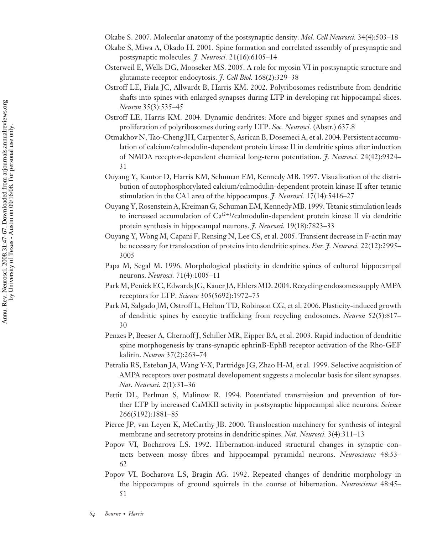- Okabe S. 2007. Molecular anatomy of the postsynaptic density. *Mol. Cell Neurosci.* 34(4):503–18
- Okabe S, Miwa A, Okado H. 2001. Spine formation and correlated assembly of presynaptic and postsynaptic molecules. *J. Neurosci.* 21(16):6105–14
- Osterweil E, Wells DG, Mooseker MS. 2005. A role for myosin VI in postsynaptic structure and glutamate receptor endocytosis. *J. Cell Biol.* 168(2):329–38
- Ostroff LE, Fiala JC, Allwardt B, Harris KM. 2002. Polyribosomes redistribute from dendritic shafts into spines with enlarged synapses during LTP in developing rat hippocampal slices. *Neuron* 35(3):535–45
- Ostroff LE, Harris KM. 2004. Dynamic dendrites: More and bigger spines and synapses and proliferation of polyribosomes during early LTP. *Soc. Neurosci.* (Abstr.) 637.8
- Otmakhov N, Tao-Cheng JH, Carpenter S, Asrican B, Dosemeci A, et al. 2004. Persistent accumulation of calcium/calmodulin-dependent protein kinase II in dendritic spines after induction of NMDA receptor-dependent chemical long-term potentiation. *J. Neurosci.* 24(42):9324– 31
- Ouyang Y, Kantor D, Harris KM, Schuman EM, Kennedy MB. 1997. Visualization of the distribution of autophosphorylated calcium/calmodulin-dependent protein kinase II after tetanic stimulation in the CA1 area of the hippocampus. *J. Neurosci.* 17(14):5416–27
- Ouyang Y, Rosenstein A, Kreiman G, Schuman EM, Kennedy MB. 1999. Tetanic stimulation leads to increased accumulation of  $Ca^{(2+)}$ /calmodulin-dependent protein kinase II via dendritic protein synthesis in hippocampal neurons. *J. Neurosci.* 19(18):7823–33
- Ouyang Y, Wong M, Capani F, Rensing N, Lee CS, et al. 2005. Transient decrease in F-actin may be necessary for translocation of proteins into dendritic spines. *Eur. J. Neurosci.* 22(12):2995– 3005
- Papa M, Segal M. 1996. Morphological plasticity in dendritic spines of cultured hippocampal neurons. *Neurosci.* 71(4):1005–11
- Park M, Penick EC, Edwards JG, Kauer JA, Ehlers MD. 2004. Recycling endosomes supply AMPA receptors for LTP. *Science* 305(5692):1972–75
- Park M, Salgado JM, Ostroff L, Helton TD, Robinson CG, et al. 2006. Plasticity-induced growth of dendritic spines by exocytic trafficking from recycling endosomes. *Neuron* 52(5):817– 30
- Penzes P, Beeser A, Chernoff J, Schiller MR, Eipper BA, et al. 2003. Rapid induction of dendritic spine morphogenesis by trans-synaptic ephrinB-EphB receptor activation of the Rho-GEF kalirin. *Neuron* 37(2):263–74
- Petralia RS, Esteban JA, Wang Y-X, Partridge JG, Zhao H-M, et al. 1999. Selective acquisition of AMPA receptors over postnatal developement suggests a molecular basis for silent synapses. *Nat. Neurosci.* 2(1):31–36
- Pettit DL, Perlman S, Malinow R. 1994. Potentiated transmission and prevention of further LTP by increased CaMKII activity in postsynaptic hippocampal slice neurons. *Science* 266(5192):1881–85
- Pierce JP, van Leyen K, McCarthy JB. 2000. Translocation machinery for synthesis of integral membrane and secretory proteins in dendritic spines. *Nat. Neurosci.* 3(4):311–13
- Popov VI, Bocharova LS. 1992. Hibernation-induced structural changes in synaptic contacts between mossy fibres and hippocampal pyramidal neurons. *Neuroscience* 48:53– 62
- Popov VI, Bocharova LS, Bragin AG. 1992. Repeated changes of dendritic morphology in the hippocampus of ground squirrels in the course of hibernation. *Neuroscience* 48:45– 51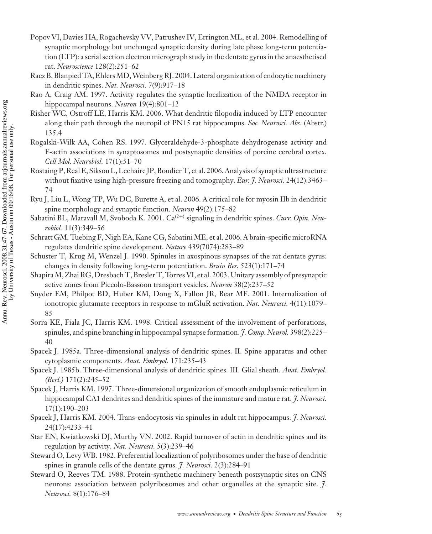- Popov VI, Davies HA, Rogachevsky VV, Patrushev IV, Errington ML, et al. 2004. Remodelling of synaptic morphology but unchanged synaptic density during late phase long-term potentiation (LTP): a serial section electron micrograph study in the dentate gyrus in the anaesthetised rat. *Neuroscience* 128(2):251–62
- Racz B, Blanpied TA, Ehlers MD, Weinberg RJ. 2004. Lateral organization of endocytic machinery in dendritic spines. *Nat. Neurosci.* 7(9):917–18
- Rao A, Craig AM. 1997. Activity regulates the synaptic localization of the NMDA receptor in hippocampal neurons. *Neuron* 19(4):801–12
- Risher WC, Ostroff LE, Harris KM. 2006. What dendritic filopodia induced by LTP encounter along their path through the neuropil of PN15 rat hippocampus. *Soc. Neurosci. Abs.* (Abstr.) 135.4
- Rogalski-Wilk AA, Cohen RS. 1997. Glyceraldehyde-3-phosphate dehydrogenase activity and F-actin associations in synaptosomes and postsynaptic densities of porcine cerebral cortex. *Cell Mol. Neurobiol.* 17(1):51–70
- Rostaing P, Real E, Siksou L, Lechaire JP, Boudier T, et al. 2006. Analysis of synaptic ultrastructure without fixative using high-pressure freezing and tomography. *Eur. J. Neurosci.* 24(12):3463– 74
- Ryu J, Liu L, Wong TP, Wu DC, Burette A, et al. 2006. A critical role for myosin IIb in dendritic spine morphology and synaptic function. *Neuron* 49(2):175–82
- Sabatini BL, Maravall M, Svoboda K, 2001, Ca<sup>(2+)</sup> signaling in dendritic spines. *Curr. Opin. Neurobiol.* 11(3):349–56
- Schratt GM, Tuebing F, Nigh EA, Kane CG, Sabatini ME, et al. 2006. A brain-specific microRNA regulates dendritic spine development. *Nature* 439(7074):283–89
- Schuster T, Krug M, Wenzel J. 1990. Spinules in axospinous synapses of the rat dentate gyrus: changes in density following long-term potentiation. *Brain Res.* 523(1):171–74
- Shapira M, Zhai RG, Dresbach T, Bresler T, Torres VI, et al. 2003. Unitary assembly of presynaptic active zones from Piccolo-Bassoon transport vesicles. *Neuron* 38(2):237–52
- Snyder EM, Philpot BD, Huber KM, Dong X, Fallon JR, Bear MF. 2001. Internalization of ionotropic glutamate receptors in response to mGluR activation. *Nat. Neurosci.* 4(11):1079– 85
- Sorra KE, Fiala JC, Harris KM. 1998. Critical assessment of the involvement of perforations, spinules, and spine branching in hippocampal synapse formation. *J. Comp. Neurol.* 398(2):225– 40
- Spacek J. 1985a. Three-dimensional analysis of dendritic spines. II. Spine apparatus and other cytoplasmic components. *Anat. Embryol.* 171:235–43
- Spacek J. 1985b. Three-dimensional analysis of dendritic spines. III. Glial sheath. *Anat. Embryol. (Berl.)* 171(2):245–52
- Spacek J, Harris KM. 1997. Three-dimensional organization of smooth endoplasmic reticulum in hippocampal CA1 dendrites and dendritic spines of the immature and mature rat. *J. Neurosci.* 17(1):190–203
- Spacek J, Harris KM. 2004. Trans-endocytosis via spinules in adult rat hippocampus. *J. Neurosci.* 24(17):4233–41
- Star EN, Kwiatkowski DJ, Murthy VN. 2002. Rapid turnover of actin in dendritic spines and its regulation by activity. *Nat. Neurosci.* 5(3):239–46
- Steward O, Levy WB. 1982. Preferential localization of polyribosomes under the base of dendritic spines in granule cells of the dentate gyrus. *J. Neurosci.* 2(3):284–91
- Steward O, Reeves TM. 1988. Protein-synthetic machinery beneath postsynaptic sites on CNS neurons: association between polyribosomes and other organelles at the synaptic site. *J. Neurosci.* 8(1):176–84

*www.annualreviews.org* • *Dendritic Spine Structure and Function 65*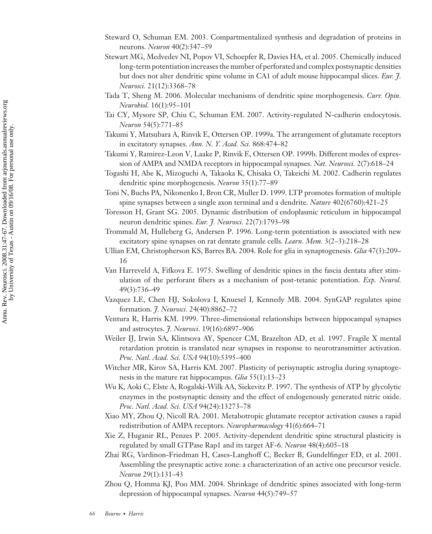- Steward O, Schuman EM. 2003. Compartmentalized synthesis and degradation of proteins in neurons. *Neuron* 40(2):347–59
- Stewart MG, Medvedev NI, Popov VI, Schoepfer R, Davies HA, et al. 2005. Chemically induced long-term potentiation increases the number of perforated and complex postsynaptic densities but does not alter dendritic spine volume in CA1 of adult mouse hippocampal slices. *Eur. J. Neurosci.* 21(12):3368–78
- Tada T, Sheng M. 2006. Molecular mechanisms of dendritic spine morphogenesis. *Curr. Opin. Neurobiol.* 16(1):95–101
- Tai CY, Mysore SP, Chiu C, Schuman EM. 2007. Activity-regulated N-cadherin endocytosis. *Neuron* 54(5):771–85
- Takumi Y, Matsubara A, Rinvik E, Ottersen OP. 1999a. The arrangement of glutamate receptors in excitatory synapses. *Ann. N. Y. Acad. Sci.* 868:474–82
- Takumi Y, Ramirez-Leon V, Laake P, Rinvik E, Ottersen OP. 1999b. Different modes of expression of AMPA and NMDA receptors in hippocampal synapses. *Nat. Neurosci.* 2(7):618–24
- Togashi H, Abe K, Mizoguchi A, Takaoka K, Chisaka O, Takeichi M. 2002. Cadherin regulates dendritic spine morphogenesis. *Neuron* 35(1):77–89
- Toni N, Buchs PA, Nikonenko I, Bron CR, Muller D. 1999. LTP promotes formation of multiple spine synapses between a single axon terminal and a dendrite. *Nature* 402(6760):421–25
- Toresson H, Grant SG. 2005. Dynamic distribution of endoplasmic reticulum in hippocampal neuron dendritic spines. *Eur. J. Neurosci.* 22(7):1793–98
- Trommald M, Hulleberg G, Andersen P. 1996. Long-term potentiation is associated with new excitatory spine synapses on rat dentate granule cells. *Learn. Mem.* 3(2–3):218–28
- Ullian EM, Christopherson KS, Barres BA. 2004. Role for glia in synaptogenesis. *Glia* 47(3):209– 16
- Van Harreveld A, Fifkova E. 1975. Swelling of dendritic spines in the fascia dentata after stimulation of the perforant fibers as a mechanism of post-tetanic potentiation. *Exp. Neurol.* 49(3):736–49
- Vazquez LE, Chen HJ, Sokolova I, Knuesel I, Kennedy MB. 2004. SynGAP regulates spine formation. *J. Neurosci.* 24(40):8862–72
- Ventura R, Harris KM. 1999. Three-dimensional relationships between hippocampal synapses and astrocytes. *J. Neurosci*. 19(16):6897–906
- Weiler IJ, Irwin SA, Klintsova AY, Spencer CM, Brazelton AD, et al. 1997. Fragile X mental retardation protein is translated near synapses in response to neurotransmitter activation. *Proc. Natl. Acad. Sci. USA* 94(10):5395–400
- Witcher MR, Kirov SA, Harris KM. 2007. Plasticity of perisynaptic astroglia during synaptogenesis in the mature rat hippocampus. *Glia* 55(1):13–23
- Wu K, Aoki C, Elste A, Rogalski-Wilk AA, Siekevitz P. 1997. The synthesis of ATP by glycolytic enzymes in the postsynaptic density and the effect of endogenously generated nitric oxide. *Proc. Natl. Acad. Sci. USA* 94(24):13273–78
- Xiao MY, Zhou Q, Nicoll RA. 2001. Metabotropic glutamate receptor activation causes a rapid redistribution of AMPA receptors. *Neuropharmacology* 41(6):664–71
- Xie Z, Huganir RL, Penzes P. 2005. Activity-dependent dendritic spine structural plasticity is regulated by small GTPase Rap1 and its target AF-6. *Neuron* 48(4):605–18
- Zhai RG, Vardinon-Friedman H, Cases-Langhoff C, Becker B, Gundelfinger ED, et al. 2001. Assembling the presynaptic active zone: a characterization of an active one precursor vesicle. *Neuron* 29(1):131–43
- Zhou Q, Homma KJ, Poo MM. 2004. Shrinkage of dendritic spines associated with long-term depression of hippocampal synapses. *Neuron* 44(5):749–57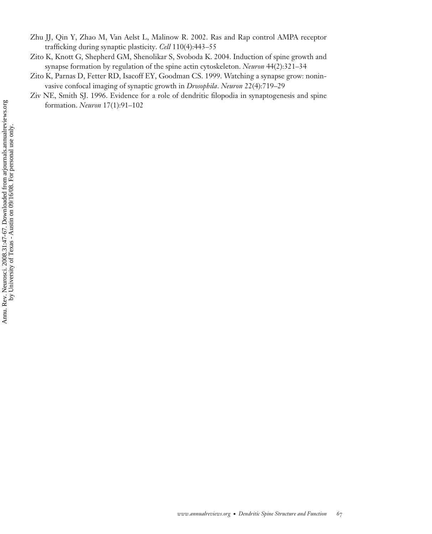- Zhu JJ, Qin Y, Zhao M, Van Aelst L, Malinow R. 2002. Ras and Rap control AMPA receptor trafficking during synaptic plasticity. *Cell* 110(4):443–55
- Zito K, Knott G, Shepherd GM, Shenolikar S, Svoboda K. 2004. Induction of spine growth and synapse formation by regulation of the spine actin cytoskeleton. *Neuron* 44(2):321–34
- Zito K, Parnas D, Fetter RD, Isacoff EY, Goodman CS. 1999. Watching a synapse grow: noninvasive confocal imaging of synaptic growth in *Drosophila*. *Neuron* 22(4):719–29
- Ziv NE, Smith SJ. 1996. Evidence for a role of dendritic filopodia in synaptogenesis and spine formation. *Neuron* 17(1):91–102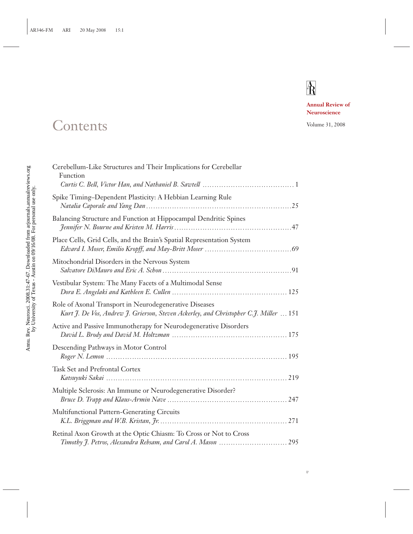*v*

**Annual Review of Neuroscience**

# Contents Volume 31, 2008

| Cerebellum-Like Structures and Their Implications for Cerebellar<br>Function                                                                    |     |
|-------------------------------------------------------------------------------------------------------------------------------------------------|-----|
| Spike Timing-Dependent Plasticity: A Hebbian Learning Rule                                                                                      |     |
| Balancing Structure and Function at Hippocampal Dendritic Spines                                                                                |     |
| Place Cells, Grid Cells, and the Brain's Spatial Representation System                                                                          |     |
| Mitochondrial Disorders in the Nervous System                                                                                                   |     |
| Vestibular System: The Many Facets of a Multimodal Sense                                                                                        |     |
| Role of Axonal Transport in Neurodegenerative Diseases<br>Kurt 7. De Vos, Andrew 7. Grierson, Steven Ackerley, and Christopher C.7. Miller  151 |     |
| Active and Passive Immunotherapy for Neurodegenerative Disorders                                                                                |     |
| Descending Pathways in Motor Control                                                                                                            |     |
| Task Set and Prefrontal Cortex                                                                                                                  |     |
| Multiple Sclerosis: An Immune or Neurodegenerative Disorder?                                                                                    | 247 |
| Multifunctional Pattern-Generating Circuits                                                                                                     |     |
| Retinal Axon Growth at the Optic Chiasm: To Cross or Not to Cross                                                                               |     |
|                                                                                                                                                 |     |